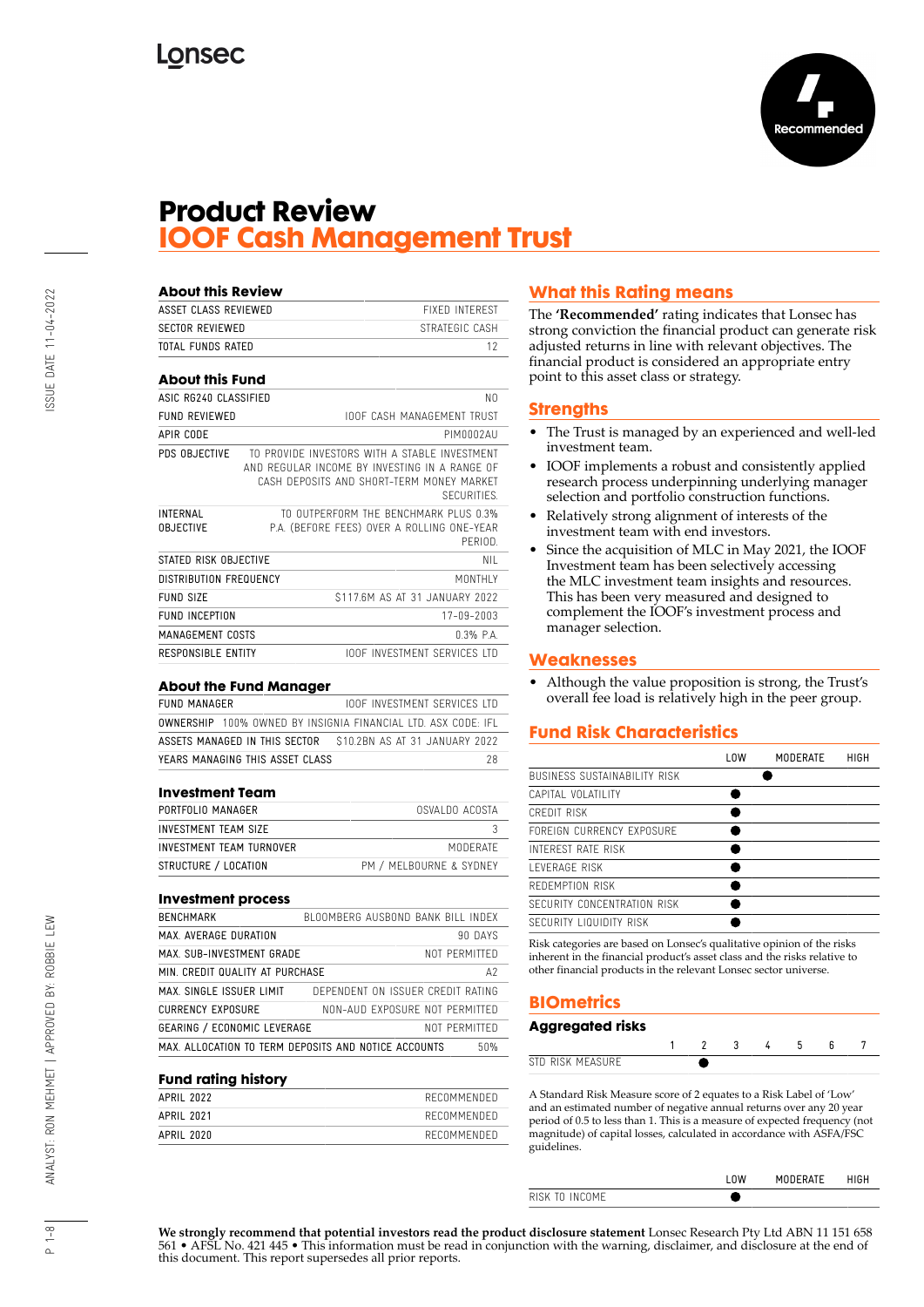

# **Product Review IOOF Cash Management Trust**

| <b>About this Review</b>            |                                                                                                                                                                  |
|-------------------------------------|------------------------------------------------------------------------------------------------------------------------------------------------------------------|
| ASSET CLASS REVIEWED                | <b>FIXED INTEREST</b>                                                                                                                                            |
| SECTOR REVIEWED                     | STRATEGIC CASH                                                                                                                                                   |
| TOTAL FUNDS RATED                   | 12                                                                                                                                                               |
| <b>About this Fund</b>              |                                                                                                                                                                  |
| ASIC RG240 CLASSIFIED               | NO.                                                                                                                                                              |
| FUND REVIEWED                       | <b>IOOF CASH MANAGEMENT TRUST</b>                                                                                                                                |
| APIR CODE                           | PIMNN02AU                                                                                                                                                        |
| PDS OBJECTIVE                       | TO PROVIDE INVESTORS WITH A STARLE INVESTMENT<br>AND REGULAR INCOME BY INVESTING IN A RANGE OF<br>CASH DEPOSITS AND SHORT-TERM MONEY MARKET<br><b>SECURITIES</b> |
| <b>INTERNAL</b><br><b>OBJECTIVE</b> | TO OUTPERFORM THE BENCHMARK PLUS 0.3%<br>P.A. (BEFORE FEES) OVER A ROLLING ONE-YEAR<br>PERIOD                                                                    |
| STATED RISK OBJECTIVE               | NII                                                                                                                                                              |
| DISTRIBUTION FREQUENCY              | MONTHI Y                                                                                                                                                         |
| FUND SIZE                           | \$117.6M AS AT 31 JANUARY 2022                                                                                                                                   |
| FUND INCEPTION                      | 17-09-2003                                                                                                                                                       |
| MANAGEMENT COSTS                    | $0.3%$ $PA$                                                                                                                                                      |
| RESPONSIBLE ENTITY                  | <b>IOOF INVESTMENT SERVICES LTD</b>                                                                                                                              |

#### **About the Fund Manager**

| FUND MANAGER |                                                                      |  | IOOF INVESTMENT SERVICES ITD |     |
|--------------|----------------------------------------------------------------------|--|------------------------------|-----|
|              | <b>OWNERSHIP</b> 100% OWNED BY INSIGNIA FINANCIAL LTD. ASX CODE: IFL |  |                              |     |
|              | ASSETS MANAGED IN THIS SECTOR 510.2BN AS AT 31 JANUARY 2022          |  |                              |     |
|              | YEARS MANAGING THIS ASSET CLASS                                      |  |                              | 28. |

#### **Investment Team**

| PORTFOLIO MANAGER        | OSVALDO ACOSTA          |
|--------------------------|-------------------------|
| INVESTMENT TEAM SIZE     |                         |
| INVESTMENT TEAM TURNOVER | MODERATE                |
| STRUCTURE / LOCATION     | PM / MELBOURNE & SYDNEY |

#### **Investment process**

| <b>BENCHMARK</b>                   | BLOOMBERG AUSBOND BANK BILL INDEX                           |
|------------------------------------|-------------------------------------------------------------|
| MAX. AVERAGE DURATION              | 90 DAYS                                                     |
| MAX. SUB-INVESTMENT GRADE          | NOT PFRMITTFD                                               |
| MIN. CREDIT QUALITY AT PURCHASE    | Α2                                                          |
| MAX. SINGLE ISSUER LIMIT           | DEPENDENT ON ISSUER CREDIT RATING                           |
| <b>CURRENCY EXPOSURE</b>           | NON-AUD EXPOSURE NOT PFRMITTFD                              |
| <b>GEARING / ECONOMIC LEVERAGE</b> | NOT PERMITTED                                               |
|                                    | MAX. ALLOCATION TO TERM DEPOSITS AND NOTICE ACCOUNTS<br>50% |

#### **Fund rating history**

| APRII 2020 | RECOMMENDED |
|------------|-------------|
| APRII 2021 | RECOMMENDED |
| APRIL 2022 | RECOMMENDED |
|            |             |

# **What this Rating means**

The **'Recommended'** rating indicates that Lonsec has strong conviction the financial product can generate risk adjusted returns in line with relevant objectives. The financial product is considered an appropriate entry point to this asset class or strategy.

### **Strengths**

- The Trust is managed by an experienced and well-led investment team.
- IOOF implements a robust and consistently applied research process underpinning underlying manager selection and portfolio construction functions.
- Relatively strong alignment of interests of the investment team with end investors.
- Since the acquisition of MLC in May 2021, the IOOF Investment team has been selectively accessing the MLC investment team insights and resources. This has been very measured and designed to complement the IOOF's investment process and manager selection.

### **Weaknesses**

• Although the value proposition is strong, the Trust's overall fee load is relatively high in the peer group.

# **Fund Risk Characteristics**

|                              | l OW | MODERATE | HIGH |
|------------------------------|------|----------|------|
| BUSINESS SUSTAINABILITY RISK |      |          |      |
| CAPITAL VOLATILITY           |      |          |      |
| CREDIT RISK                  |      |          |      |
| FORFIGN CURRENCY EXPOSURE    |      |          |      |
| INTEREST RATE RISK           |      |          |      |
| I FVFRAGF RISK               |      |          |      |
| REDEMPTION RISK              |      |          |      |
| SECURITY CONCENTRATION RISK  |      |          |      |
| SECURITY LIQUIDITY RISK      |      |          |      |

Risk categories are based on Lonsec's qualitative opinion of the risks inherent in the financial product's asset class and the risks relative to other financial products in the relevant Lonsec sector universe.

# **BIOmetrics**

## **Aggregated risks**

| I RICK MEACHRE<br><b>STI</b><br>ັ |  |  |  |  |
|-----------------------------------|--|--|--|--|

A Standard Risk Measure score of 2 equates to a Risk Label of 'Low' and an estimated number of negative annual returns over any 20 year period of 0.5 to less than 1. This is a measure of expected frequency (not magnitude) of capital losses, calculated in accordance with ASFA/FSC guidelines.

|                                   | <b>IFRATE</b><br>M |  |
|-----------------------------------|--------------------|--|
| <b>INCOME</b><br>m<br><b>RISK</b> |                    |  |
|                                   |                    |  |

**We strongly recommend that potential investors read the product disclosure statement** Lonsec Research Pty Ltd ABN 11 151 658 561 • AFSL No. 421 445 • This information must be read in conjunction with the warning, disclaimer, and disclosure at the end of this document. This report supersedes all prior reports.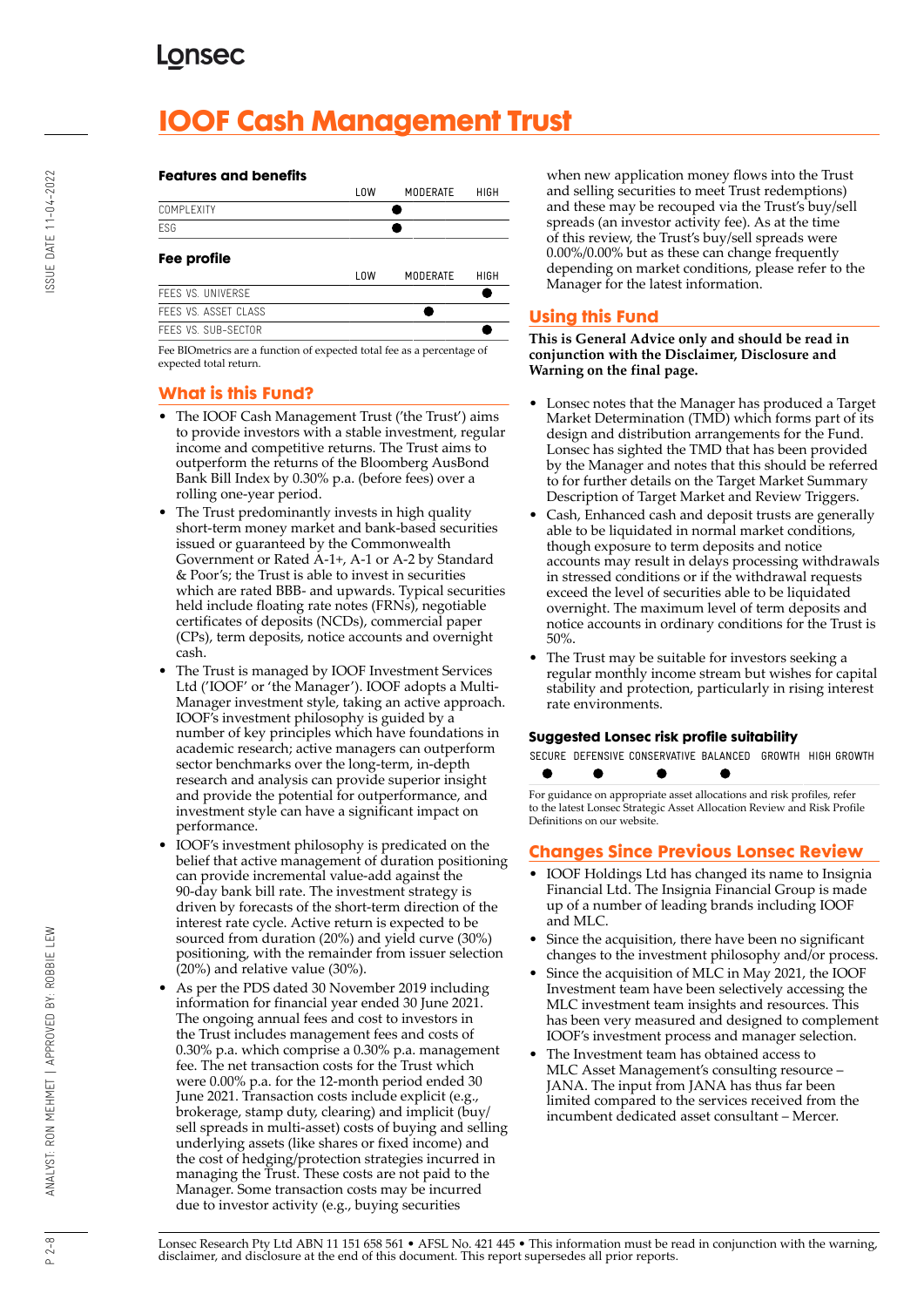# **IOOF Cash Management Trust**

### **Features and benefits**

|                                                                        | LOW        | MODERATE        | HIGH |
|------------------------------------------------------------------------|------------|-----------------|------|
| COMPI FXITY                                                            |            |                 |      |
| FSG                                                                    |            |                 |      |
| Fee profile                                                            |            |                 |      |
|                                                                        | <b>LOW</b> | <b>MODERATE</b> | HIGH |
| FFFS VS. UNIVERSE                                                      |            |                 |      |
| FEES VS. ASSET CLASS                                                   |            |                 |      |
| FFFS VS. SUB-SECTOR                                                    |            |                 |      |
| Fee BIOmetrics are a function of expected total fee as a percentage of |            |                 |      |

Fee BIOmetrics are a function of expected total fee as a percentage of expected total return.

# **What is this Fund?**

- The IOOF Cash Management Trust ('the Trust') aims to provide investors with a stable investment, regular income and competitive returns. The Trust aims to outperform the returns of the Bloomberg AusBond Bank Bill Index by 0.30% p.a. (before fees) over a rolling one-year period.
- The Trust predominantly invests in high quality short-term money market and bank-based securities issued or guaranteed by the Commonwealth Government or Rated A-1+, A-1 or A-2 by Standard & Poor's; the Trust is able to invest in securities which are rated BBB- and upwards. Typical securities held include floating rate notes (FRNs), negotiable certificates of deposits (NCDs), commercial paper (CPs), term deposits, notice accounts and overnight cash.
- The Trust is managed by IOOF Investment Services Ltd ('IOOF' or 'the Manager'). IOOF adopts a Multi-Manager investment style, taking an active approach. IOOF's investment philosophy is guided by a number of key principles which have foundations in academic research; active managers can outperform sector benchmarks over the long-term, in-depth research and analysis can provide superior insight and provide the potential for outperformance, and investment style can have a significant impact on performance.
- IOOF's investment philosophy is predicated on the belief that active management of duration positioning can provide incremental value-add against the 90-day bank bill rate. The investment strategy is driven by forecasts of the short-term direction of the interest rate cycle. Active return is expected to be sourced from duration (20%) and yield curve (30%) positioning, with the remainder from issuer selection (20%) and relative value (30%).
- As per the PDS dated 30 November 2019 including information for financial year ended 30 June 2021. The ongoing annual fees and cost to investors in the Trust includes management fees and costs of 0.30% p.a. which comprise a 0.30% p.a. management fee. The net transaction costs for the Trust which were 0.00% p.a. for the 12-month period ended 30 June 2021. Transaction costs include explicit (e.g., brokerage, stamp duty, clearing) and implicit (buy/ sell spreads in multi-asset) costs of buying and selling underlying assets (like shares or fixed income) and the cost of hedging/protection strategies incurred in managing the Trust. These costs are not paid to the Manager. Some transaction costs may be incurred due to investor activity (e.g., buying securities

when new application money flows into the Trust and selling securities to meet Trust redemptions) and these may be recouped via the Trust's buy/sell spreads (an investor activity fee). As at the time of this review, the Trust's buy/sell spreads were 0.00%/0.00% but as these can change frequently depending on market conditions, please refer to the Manager for the latest information.

# **Using this Fund**

**This is General Advice only and should be read in conjunction with the Disclaimer, Disclosure and Warning on the final page.**

- Lonsec notes that the Manager has produced a Target Market Determination (TMD) which forms part of its design and distribution arrangements for the Fund. Lonsec has sighted the TMD that has been provided by the Manager and notes that this should be referred to for further details on the Target Market Summary Description of Target Market and Review Triggers.
- Cash, Enhanced cash and deposit trusts are generally able to be liquidated in normal market conditions, though exposure to term deposits and notice accounts may result in delays processing withdrawals in stressed conditions or if the withdrawal requests exceed the level of securities able to be liquidated overnight. The maximum level of term deposits and notice accounts in ordinary conditions for the Trust is 50%.
- The Trust may be suitable for investors seeking a regular monthly income stream but wishes for capital stability and protection, particularly in rising interest rate environments.

### **Suggested Lonsec risk profile suitability**

|  | SECURE DEFENSIVE CONSERVATIVE BALANCED. GROWTH HIGH GROWTH |  |  |
|--|------------------------------------------------------------|--|--|
|  |                                                            |  |  |

For guidance on appropriate asset allocations and risk profiles, refer to the latest Lonsec Strategic Asset Allocation Review and Risk Profile Definitions on our website.

# **Changes Since Previous Lonsec Review**

- IOOF Holdings Ltd has changed its name to Insignia Financial Ltd. The Insignia Financial Group is made up of a number of leading brands including IOOF and MLC.
- Since the acquisition, there have been no significant changes to the investment philosophy and/or process.
- Since the acquisition of MLC in May 2021, the IOOF Investment team have been selectively accessing the MLC investment team insights and resources. This has been very measured and designed to complement IOOF's investment process and manager selection.
- The Investment team has obtained access to MLC Asset Management's consulting resource – JANA. The input from JANA has thus far been limited compared to the services received from the incumbent dedicated asset consultant – Mercer.

Lonsec Research Pty Ltd ABN 11 151 658 561 • AFSL No. 421 445 • This information must be read in conjunction with the warning, disclaimer, and disclosure at the end of this document. This report supersedes all prior reports.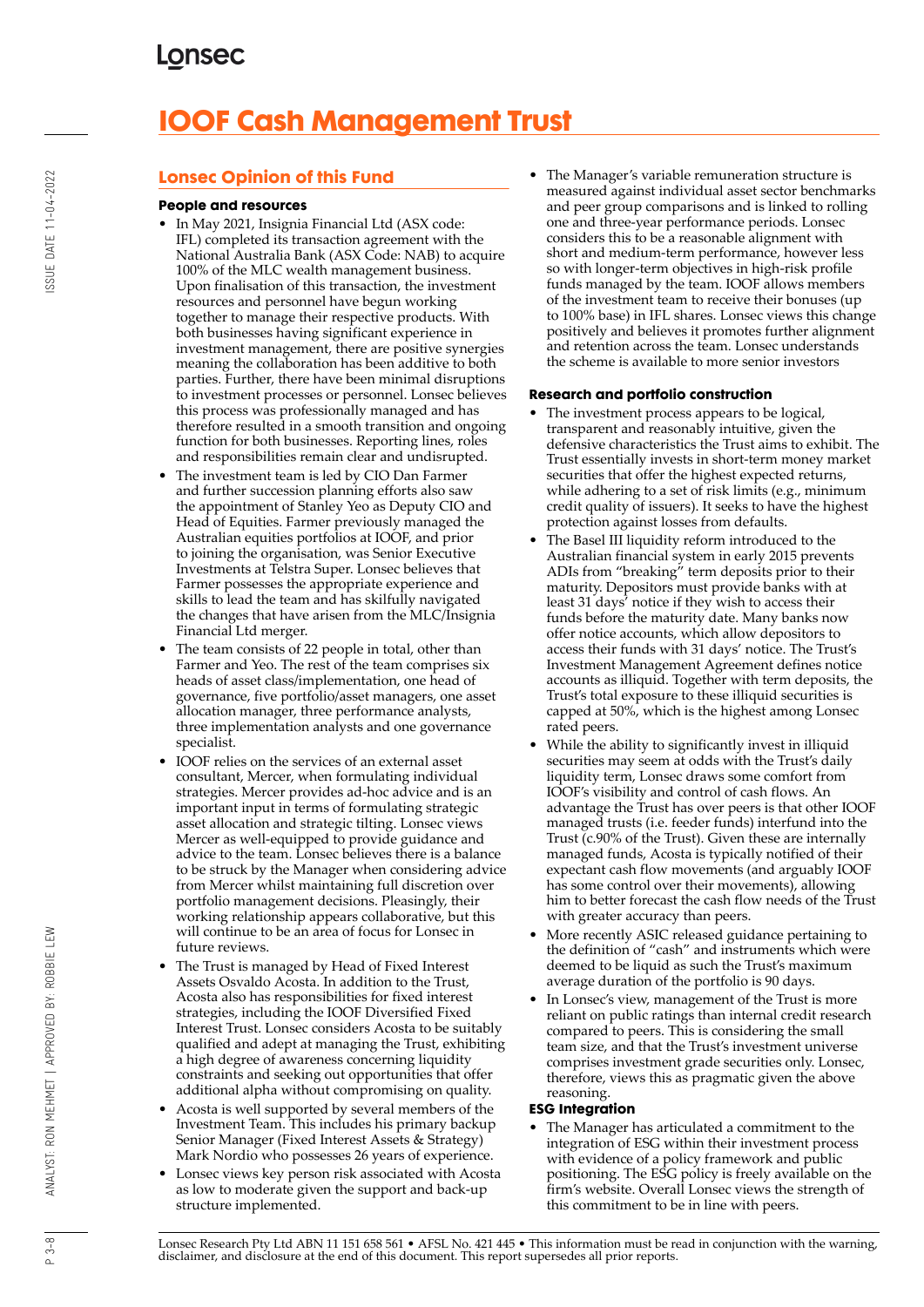# **IOOF Cash Management Trust**

# **Lonsec Opinion of this Fund**

## **People and resources**

- In May 2021, Insignia Financial Ltd (ASX code: IFL) completed its transaction agreement with the National Australia Bank (ASX Code: NAB) to acquire 100% of the MLC wealth management business. Upon finalisation of this transaction, the investment resources and personnel have begun working together to manage their respective products. With both businesses having significant experience in investment management, there are positive synergies meaning the collaboration has been additive to both parties. Further, there have been minimal disruptions to investment processes or personnel. Lonsec believes this process was professionally managed and has therefore resulted in a smooth transition and ongoing function for both businesses. Reporting lines, roles and responsibilities remain clear and undisrupted.
- The investment team is led by CIO Dan Farmer and further succession planning efforts also saw the appointment of Stanley Yeo as Deputy CIO and Head of Equities. Farmer previously managed the Australian equities portfolios at IOOF, and prior to joining the organisation, was Senior Executive Investments at Telstra Super. Lonsec believes that Farmer possesses the appropriate experience and skills to lead the team and has skilfully navigated the changes that have arisen from the MLC/Insignia Financial Ltd merger.
- The team consists of 22 people in total, other than Farmer and Yeo. The rest of the team comprises six heads of asset class/implementation, one head of governance, five portfolio/asset managers, one asset allocation manager, three performance analysts, three implementation analysts and one governance specialist.
- IOOF relies on the services of an external asset consultant, Mercer, when formulating individual strategies. Mercer provides ad-hoc advice and is an important input in terms of formulating strategic asset allocation and strategic tilting. Lonsec views Mercer as well-equipped to provide guidance and advice to the team. Lonsec believes there is a balance to be struck by the Manager when considering advice from Mercer whilst maintaining full discretion over portfolio management decisions. Pleasingly, their working relationship appears collaborative, but this will continue to be an area of focus for Lonsec in future reviews.
- The Trust is managed by Head of Fixed Interest Assets Osvaldo Acosta. In addition to the Trust, Acosta also has responsibilities for fixed interest strategies, including the IOOF Diversified Fixed Interest Trust. Lonsec considers Acosta to be suitably qualified and adept at managing the Trust, exhibiting a high degree of awareness concerning liquidity constraints and seeking out opportunities that offer additional alpha without compromising on quality.
- Acosta is well supported by several members of the Investment Team. This includes his primary backup Senior Manager (Fixed Interest Assets & Strategy) Mark Nordio who possesses 26 years of experience.
- Lonsec views key person risk associated with Acosta as low to moderate given the support and back-up structure implemented.

• The Manager's variable remuneration structure is measured against individual asset sector benchmarks and peer group comparisons and is linked to rolling one and three-year performance periods. Lonsec considers this to be a reasonable alignment with short and medium-term performance, however less so with longer-term objectives in high-risk profile funds managed by the team. IOOF allows members of the investment team to receive their bonuses (up to 100% base) in IFL shares. Lonsec views this change positively and believes it promotes further alignment and retention across the team. Lonsec understands the scheme is available to more senior investors

## **Research and portfolio construction**

- The investment process appears to be logical, transparent and reasonably intuitive, given the defensive characteristics the Trust aims to exhibit. The Trust essentially invests in short-term money market securities that offer the highest expected returns, while adhering to a set of risk limits (e.g., minimum credit quality of issuers). It seeks to have the highest protection against losses from defaults.
- The Basel III liquidity reform introduced to the Australian financial system in early 2015 prevents ADIs from "breaking" term deposits prior to their maturity. Depositors must provide banks with at least 31 days' notice if they wish to access their funds before the maturity date. Many banks now offer notice accounts, which allow depositors to access their funds with 31 days' notice. The Trust's Investment Management Agreement defines notice accounts as illiquid. Together with term deposits, the Trust's total exposure to these illiquid securities is capped at 50%, which is the highest among Lonsec rated peers.
- While the ability to significantly invest in illiquid securities may seem at odds with the Trust's daily liquidity term, Lonsec draws some comfort from IOOF's visibility and control of cash flows. An advantage the Trust has over peers is that other IOOF managed trusts (i.e. feeder funds) interfund into the Trust (c.90% of the Trust). Given these are internally managed funds, Acosta is typically notified of their expectant cash flow movements (and arguably IOOF has some control over their movements), allowing him to better forecast the cash flow needs of the Trust with greater accuracy than peers.
- More recently ASIC released guidance pertaining to the definition of "cash" and instruments which were deemed to be liquid as such the Trust's maximum average duration of the portfolio is 90 days.
- In Lonsec's view, management of the Trust is more reliant on public ratings than internal credit research compared to peers. This is considering the small team size, and that the Trust's investment universe comprises investment grade securities only. Lonsec, therefore, views this as pragmatic given the above reasoning.

### **ESG Integration**

The Manager has articulated a commitment to the integration of ESG within their investment process with evidence of a policy framework and public positioning. The ESG policy is freely available on the firm's website. Overall Lonsec views the strength of this commitment to be in line with peers.

Lonsec Research Pty Ltd ABN 11 151 658 561 • AFSL No. 421 445 • This information must be read in conjunction with the warning, disclaimer, and disclosure at the end of this document. This report supersedes all prior reports.

 $3 - 8$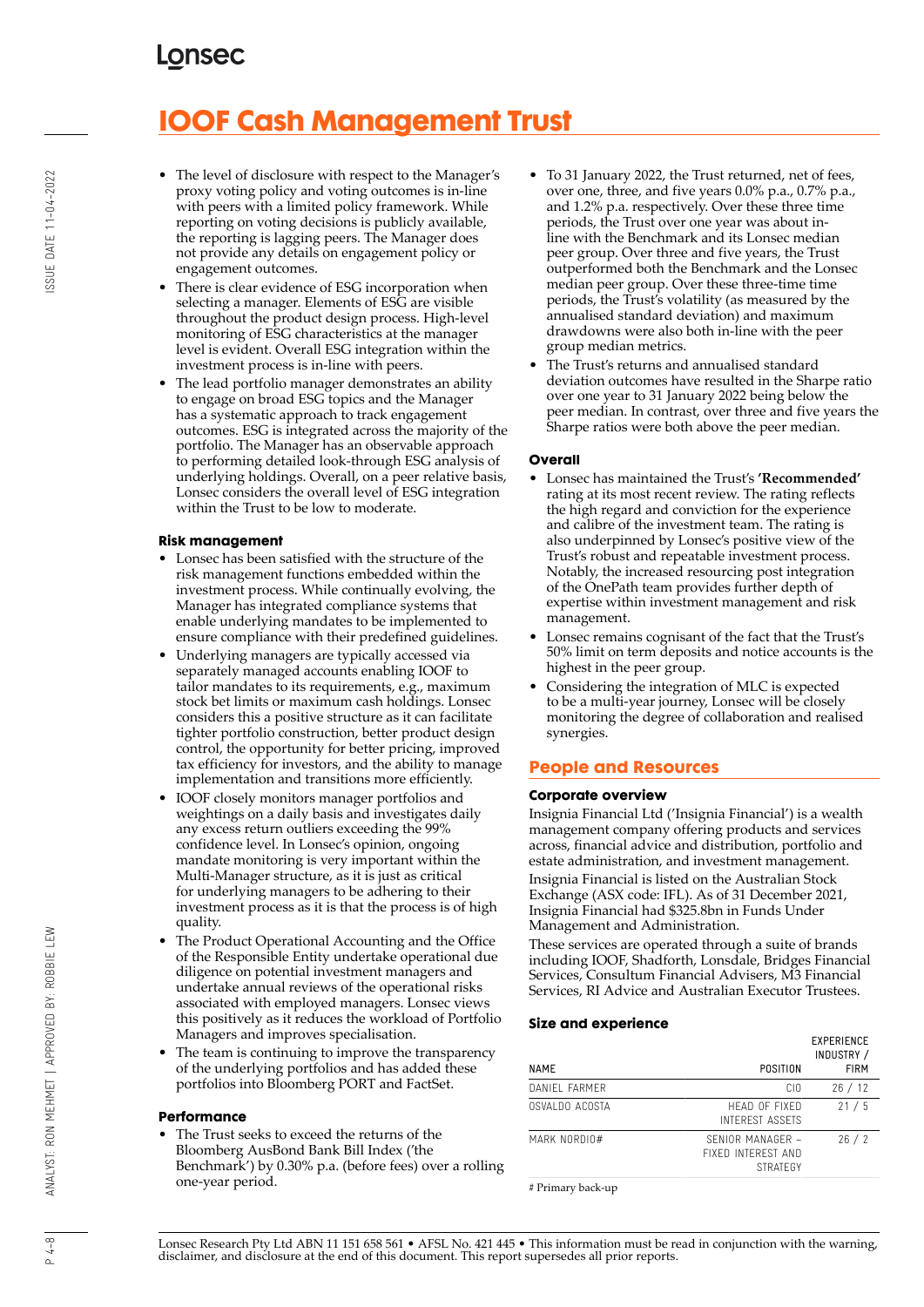# **IOOF Cash Management Trust**

- The level of disclosure with respect to the Manager's proxy voting policy and voting outcomes is in-line with peers with a limited policy framework. While reporting on voting decisions is publicly available, the reporting is lagging peers. The Manager does not provide any details on engagement policy or engagement outcomes.
- There is clear evidence of ESG incorporation when selecting a manager. Elements of ESG are visible throughout the product design process. High-level monitoring of ESG characteristics at the manager level is evident. Overall ESG integration within the investment process is in-line with peers.
- The lead portfolio manager demonstrates an ability to engage on broad ESG topics and the Manager has a systematic approach to track engagement outcomes. ESG is integrated across the majority of the portfolio. The Manager has an observable approach to performing detailed look-through ESG analysis of underlying holdings. Overall, on a peer relative basis, Lonsec considers the overall level of ESG integration within the Trust to be low to moderate.

### **Risk management**

- Lonsec has been satisfied with the structure of the risk management functions embedded within the investment process. While continually evolving, the Manager has integrated compliance systems that enable underlying mandates to be implemented to ensure compliance with their predefined guidelines.
- Underlying managers are typically accessed via separately managed accounts enabling IOOF to tailor mandates to its requirements, e.g., maximum stock bet limits or maximum cash holdings. Lonsec considers this a positive structure as it can facilitate tighter portfolio construction, better product design control, the opportunity for better pricing, improved tax efficiency for investors, and the ability to manage implementation and transitions more efficiently.
- IOOF closely monitors manager portfolios and weightings on a daily basis and investigates daily any excess return outliers exceeding the 99% confidence level. In Lonsec's opinion, ongoing mandate monitoring is very important within the Multi-Manager structure, as it is just as critical for underlying managers to be adhering to their investment process as it is that the process is of high quality.
- The Product Operational Accounting and the Office of the Responsible Entity undertake operational due diligence on potential investment managers and undertake annual reviews of the operational risks associated with employed managers. Lonsec views this positively as it reduces the workload of Portfolio Managers and improves specialisation.
- The team is continuing to improve the transparency of the underlying portfolios and has added these portfolios into Bloomberg PORT and FactSet.

#### **Performance**

• The Trust seeks to exceed the returns of the Bloomberg AusBond Bank Bill Index ('the Benchmark') by 0.30% p.a. (before fees) over a rolling one-year period.

- To 31 January 2022, the Trust returned, net of fees, over one, three, and five years 0.0% p.a., 0.7% p.a., and 1.2% p.a. respectively. Over these three time periods, the Trust over one year was about inline with the Benchmark and its Lonsec median peer group. Over three and five years, the Trust outperformed both the Benchmark and the Lonsec median peer group. Over these three-time time periods, the Trust's volatility (as measured by the annualised standard deviation) and maximum drawdowns were also both in-line with the peer group median metrics.
- The Trust's returns and annualised standard deviation outcomes have resulted in the Sharpe ratio over one year to 31 January 2022 being below the peer median. In contrast, over three and five years the Sharpe ratios were both above the peer median.

#### **Overall**

- Lonsec has maintained the Trust's **'Recommended'** rating at its most recent review. The rating reflects the high regard and conviction for the experience and calibre of the investment team. The rating is also underpinned by Lonsec's positive view of the Trust's robust and repeatable investment process. Notably, the increased resourcing post integration of the OnePath team provides further depth of expertise within investment management and risk management.
- Lonsec remains cognisant of the fact that the Trust's 50% limit on term deposits and notice accounts is the highest in the peer group.
- Considering the integration of MLC is expected to be a multi-year journey, Lonsec will be closely monitoring the degree of collaboration and realised synergies.

### **People and Resources**

#### **Corporate overview**

Insignia Financial Ltd ('Insignia Financial') is a wealth management company offering products and services across, financial advice and distribution, portfolio and estate administration, and investment management. Insignia Financial is listed on the Australian Stock Exchange (ASX code: IFL). As of 31 December 2021, Insignia Financial had \$325.8bn in Funds Under Management and Administration.

These services are operated through a suite of brands including IOOF, Shadforth, Lonsdale, Bridges Financial Services, Consultum Financial Advisers, M3 Financial Services, RI Advice and Australian Executor Trustees.

#### **Size and experience**

| NAME           | POSITION                                                  | <b>EXPERIENCE</b><br>INDUSTRY /<br><b>FIRM</b> |
|----------------|-----------------------------------------------------------|------------------------------------------------|
| DANIFI FARMER  | CIO                                                       | 26/12                                          |
| OSVALDO ACOSTA | HFAD OF FIXED<br>INTEREST ASSETS                          | 21/5                                           |
| MARK NORDIO#   | SENIOR MANAGER -<br>FIXFD INTEREST AND<br><b>STRATEGY</b> | 26/2                                           |

# Primary back-up

ANALYST: RON MEHMET | APPROVED BY: ROBBIE LEW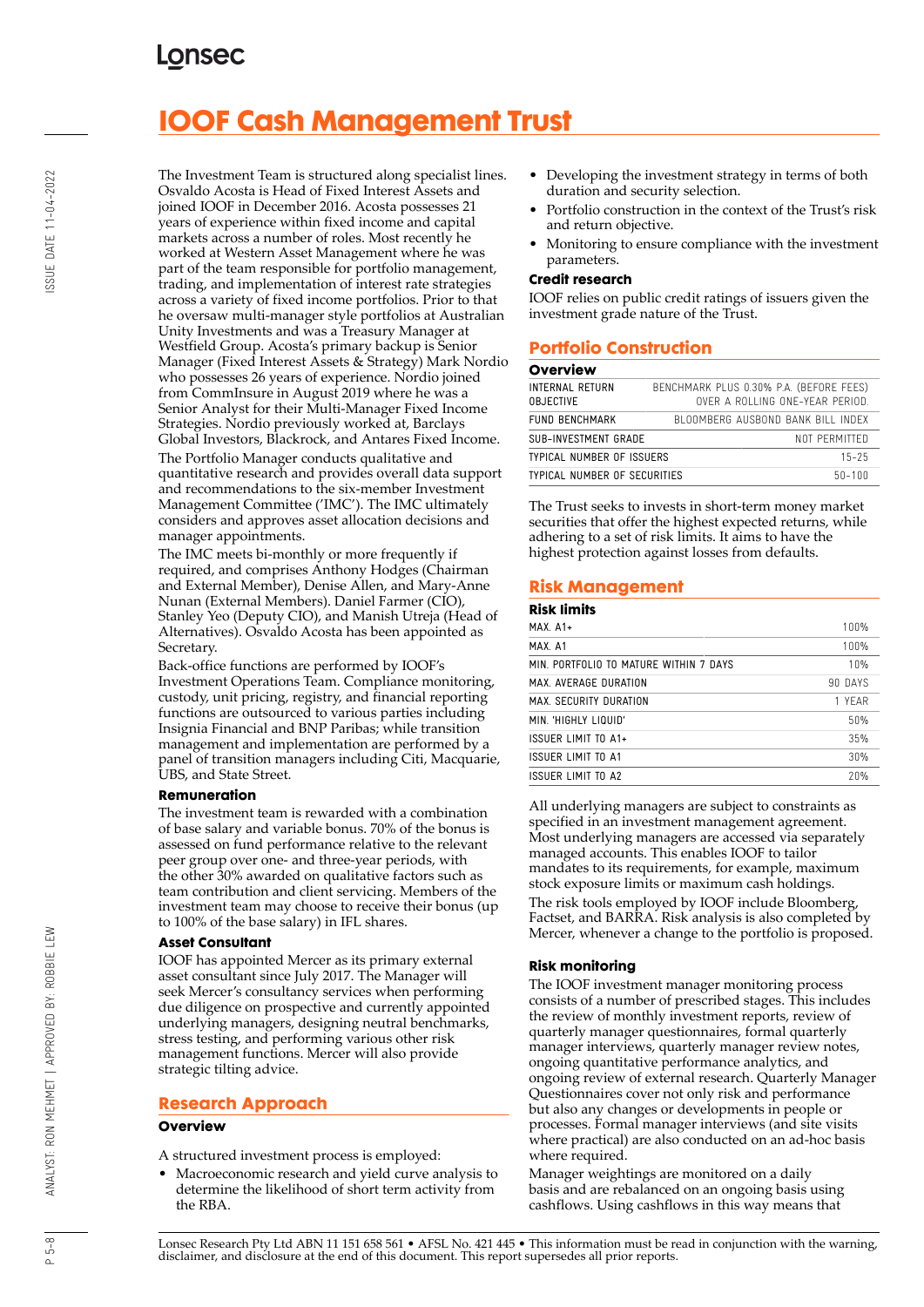# **IOOF Cash Management Trust**

The Investment Team is structured along specialist lines. Osvaldo Acosta is Head of Fixed Interest Assets and joined IOOF in December 2016. Acosta possesses 21 years of experience within fixed income and capital markets across a number of roles. Most recently he worked at Western Asset Management where he was part of the team responsible for portfolio management, trading, and implementation of interest rate strategies across a variety of fixed income portfolios. Prior to that he oversaw multi-manager style portfolios at Australian Unity Investments and was a Treasury Manager at Westfield Group. Acosta's primary backup is Senior Manager (Fixed Interest Assets & Strategy) Mark Nordio who possesses 26 years of experience. Nordio joined from CommInsure in August 2019 where he was a Senior Analyst for their Multi-Manager Fixed Income Strategies. Nordio previously worked at, Barclays Global Investors, Blackrock, and Antares Fixed Income.

The Portfolio Manager conducts qualitative and quantitative research and provides overall data support and recommendations to the six-member Investment Management Committee ('IMC'). The IMC ultimately considers and approves asset allocation decisions and manager appointments.

The IMC meets bi-monthly or more frequently if required, and comprises Anthony Hodges (Chairman and External Member), Denise Allen, and Mary-Anne Nunan (External Members). Daniel Farmer (CIO), Stanley Yeo (Deputy CIO), and Manish Utreja (Head of Alternatives). Osvaldo Acosta has been appointed as Secretary.

Back-office functions are performed by IOOF's Investment Operations Team. Compliance monitoring, custody, unit pricing, registry, and financial reporting functions are outsourced to various parties including Insignia Financial and BNP Paribas; while transition management and implementation are performed by a panel of transition managers including Citi, Macquarie, UBS, and State Street.

### **Remuneration**

The investment team is rewarded with a combination of base salary and variable bonus. 70% of the bonus is assessed on fund performance relative to the relevant peer group over one- and three-year periods, with the other 30% awarded on qualitative factors such as team contribution and client servicing. Members of the investment team may choose to receive their bonus (up to 100% of the base salary) in IFL shares.

#### **Asset Consultant**

IOOF has appointed Mercer as its primary external asset consultant since July 2017. The Manager will seek Mercer's consultancy services when performing due diligence on prospective and currently appointed underlying managers, designing neutral benchmarks, stress testing, and performing various other risk management functions. Mercer will also provide strategic tilting advice.

### **Research Approach**

#### **Overview**

A structured investment process is employed:

• Macroeconomic research and yield curve analysis to determine the likelihood of short term activity from the RBA.

- Developing the investment strategy in terms of both duration and security selection.
- Portfolio construction in the context of the Trust's risk and return objective.
- Monitoring to ensure compliance with the investment parameters.

#### **Credit research**

IOOF relies on public credit ratings of issuers given the investment grade nature of the Trust.

## **Portfolio Construction**

## **Overview**

| INTERNAL RETURN<br><b>OBJECTIVE</b>        | BENCHMARK PLUS 0.30% P.A. (BEFORE FEES)<br>OVER A ROLLING ONE-YEAR PERIOD. |
|--------------------------------------------|----------------------------------------------------------------------------|
| FUND BENCHMARK                             | BLOOMBERG AUSBOND BANK BILL INDEX                                          |
| SUB-INVESTMENT GRADE                       | NOT PERMITTED                                                              |
| TYPICAL NUMBER OF ISSUERS                  | $15 - 25$                                                                  |
| TYPICAL NUMBER OF SECURITIES<br>$50 - 100$ |                                                                            |

The Trust seeks to invests in short-term money market securities that offer the highest expected returns, while adhering to a set of risk limits. It aims to have the highest protection against losses from defaults.

## **Risk Management**

| <b>Risk limits</b>                     |         |
|----------------------------------------|---------|
| $MAX$ $A1+$                            | 100%    |
| MAX A1                                 | 100%    |
| MIN. PORTFOLIO TO MATURE WITHIN 7 DAYS | 10%     |
| MAX AVERAGE DURATION                   | 90 DAYS |
| MAX. SECURITY DURATION                 | 1 YFAR  |
| MIN 'HIGHIY I IQUID'                   | 50%     |
| ISSUER LIMIT TO A1+                    | 35%     |
| ISSUER LIMIT TO A1                     | 30%     |
| ISSUER LIMIT TO A?                     | 20%     |
|                                        |         |

All underlying managers are subject to constraints as specified in an investment management agreement. Most underlying managers are accessed via separately managed accounts. This enables IOOF to tailor mandates to its requirements, for example, maximum stock exposure limits or maximum cash holdings. The risk tools employed by IOOF include Bloomberg, Factset, and BARRA. Risk analysis is also completed by Mercer, whenever a change to the portfolio is proposed.

### **Risk monitoring**

The IOOF investment manager monitoring process consists of a number of prescribed stages. This includes the review of monthly investment reports, review of quarterly manager questionnaires, formal quarterly manager interviews, quarterly manager review notes, ongoing quantitative performance analytics, and ongoing review of external research. Quarterly Manager Questionnaires cover not only risk and performance but also any changes or developments in people or processes. Formal manager interviews (and site visits where practical) are also conducted on an ad-hoc basis where required.

Manager weightings are monitored on a daily basis and are rebalanced on an ongoing basis using cashflows. Using cashflows in this way means that

Lonsec Research Pty Ltd ABN 11 151 658 561 • AFSL No. 421 445 • This information must be read in conjunction with the warning, disclaimer, and disclosure at the end of this document. This report supersedes all prior reports.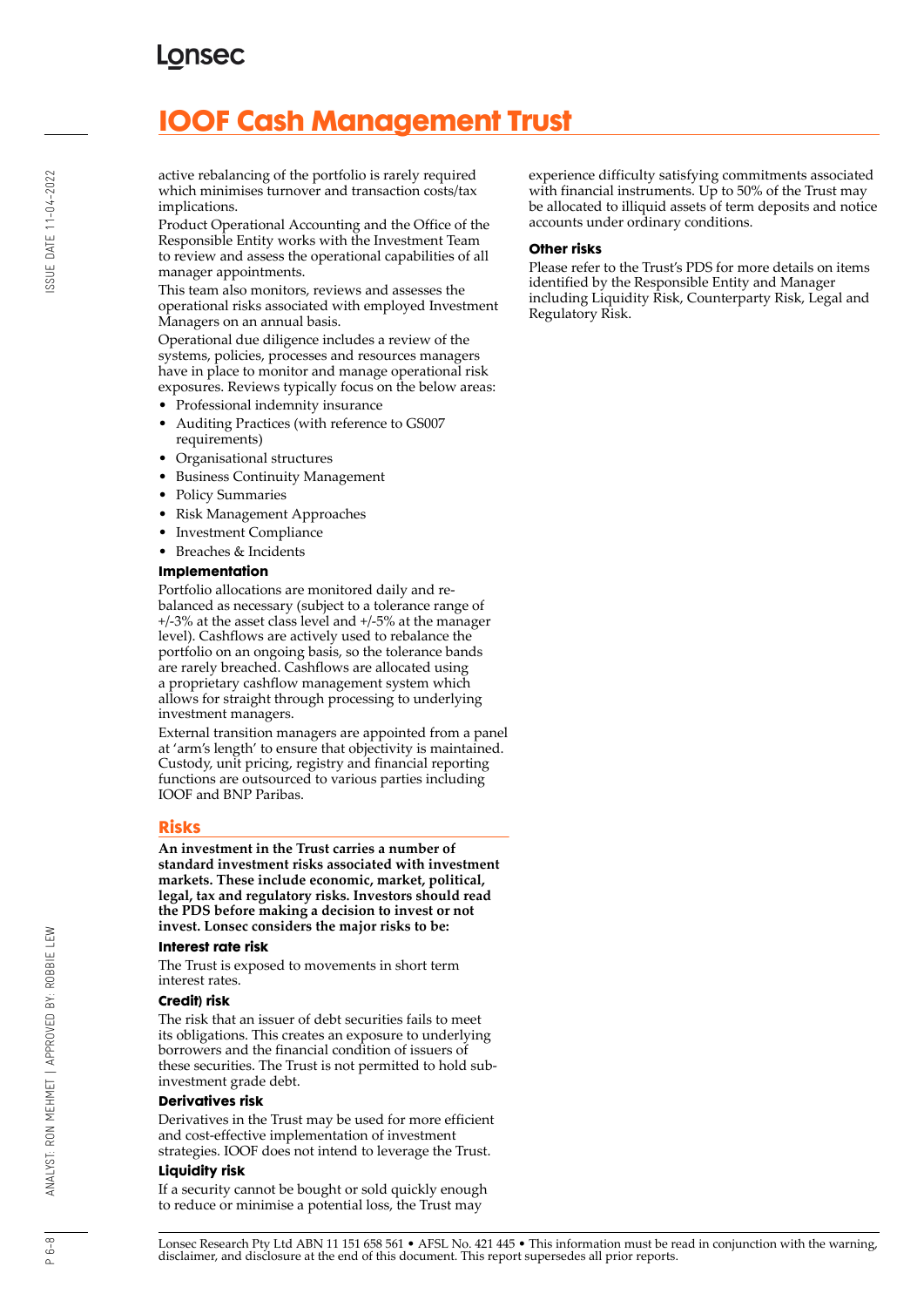# **IOOF Cash Management Trust**

active rebalancing of the portfolio is rarely required which minimises turnover and transaction costs/tax implications.

Product Operational Accounting and the Office of the Responsible Entity works with the Investment Team to review and assess the operational capabilities of all manager appointments.

This team also monitors, reviews and assesses the operational risks associated with employed Investment Managers on an annual basis.

Operational due diligence includes a review of the systems, policies, processes and resources managers have in place to monitor and manage operational risk exposures. Reviews typically focus on the below areas:

- Professional indemnity insurance
- Auditing Practices (with reference to GS007 requirements)
- Organisational structures
- Business Continuity Management
- Policy Summaries
- Risk Management Approaches
- Investment Compliance
- Breaches & Incidents

#### **Implementation**

Portfolio allocations are monitored daily and rebalanced as necessary (subject to a tolerance range of +/-3% at the asset class level and +/-5% at the manager level). Cashflows are actively used to rebalance the portfolio on an ongoing basis, so the tolerance bands are rarely breached. Cashflows are allocated using a proprietary cashflow management system which allows for straight through processing to underlying investment managers.

External transition managers are appointed from a panel at 'arm's length' to ensure that objectivity is maintained. Custody, unit pricing, registry and financial reporting functions are outsourced to various parties including IOOF and BNP Paribas.

### **Risks**

**An investment in the Trust carries a number of standard investment risks associated with investment markets. These include economic, market, political, legal, tax and regulatory risks. Investors should read the PDS before making a decision to invest or not invest. Lonsec considers the major risks to be:**

#### **Interest rate risk**

The Trust is exposed to movements in short term interest rates.

### **Credit) risk**

The risk that an issuer of debt securities fails to meet its obligations. This creates an exposure to underlying borrowers and the financial condition of issuers of these securities. The Trust is not permitted to hold subinvestment grade debt.

#### **Derivatives risk**

Derivatives in the Trust may be used for more efficient and cost-effective implementation of investment strategies. IOOF does not intend to leverage the Trust.

### **Liquidity risk**

If a security cannot be bought or sold quickly enough to reduce or minimise a potential loss, the Trust may

experience difficulty satisfying commitments associated with financial instruments. Up to 50% of the Trust may be allocated to illiquid assets of term deposits and notice accounts under ordinary conditions.

### **Other risks**

Please refer to the Trust's PDS for more details on items identified by the Responsible Entity and Manager including Liquidity Risk, Counterparty Risk, Legal and Regulatory Risk.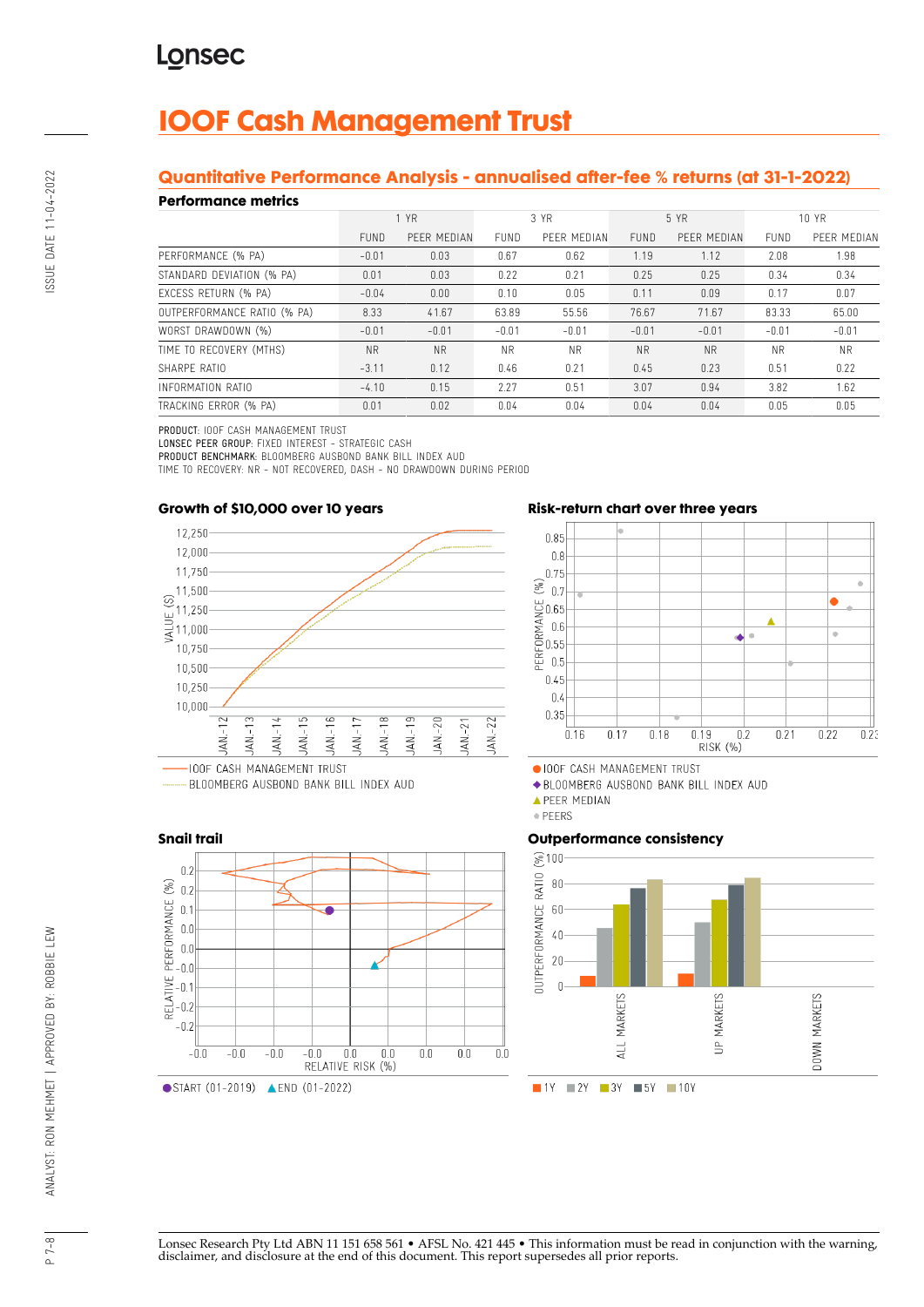# **IOOF Cash Management Trust**

# **Quantitative Performance Analysis - annualised after-fee % returns (at 31-1-2022)**

## **Performance metrics**

| . YN SITTINISY MITHY        |             |             |             |             |             |             |           |             |
|-----------------------------|-------------|-------------|-------------|-------------|-------------|-------------|-----------|-------------|
|                             | 1 YR        |             | 3 YR        |             | 5 YR        |             | 10 YR     |             |
|                             | <b>FUND</b> | PEER MEDIAN | <b>FUND</b> | PEER MEDIAN | <b>FUND</b> | PEER MEDIAN | FUND      | PEER MEDIAN |
| PERFORMANCE (% PA)          | $-0.01$     | 0.03        | 0.67        | 0.62        | 1.19        | 1.12        | 2.08      | 1.98        |
| STANDARD DEVIATION (% PA)   | 0.01        | 0.03        | 0.22        | 0.21        | 0.25        | 0.25        | 0.34      | 0.34        |
| EXCESS RETURN (% PA)        | $-0.04$     | 0.00        | 0.10        | 0.05        | 0.11        | 0.09        | 0.17      | 0.07        |
| OUTPERFORMANCE RATIO (% PA) | 8.33        | 41.67       | 63.89       | 55.56       | 76.67       | 71.67       | 83.33     | 65.00       |
| WORST DRAWDOWN (%)          | $-0.01$     | $-0.01$     | $-0.01$     | $-0.01$     | $-0.01$     | $-0.01$     | $-0.01$   | $-0.01$     |
| TIME TO RECOVERY (MTHS)     | <b>NR</b>   | <b>NR</b>   | <b>NR</b>   | <b>NR</b>   | <b>NR</b>   | <b>NR</b>   | <b>NR</b> | <b>NR</b>   |
| SHARPF RATIO                | $-3.11$     | 0.12        | 0.46        | 0.21        | 0.45        | 0.23        | 0.51      | 0.22        |
| INFORMATION RATIO           | $-4.10$     | 0.15        | 2.27        | 0.51        | 3.07        | 0.94        | 3.82      | 1.62        |
| TRACKING ERROR (% PA)       | 0.01        | 0.02        | 0.04        | 0.04        | 0.04        | 0.04        | 0.05      | 0.05        |

PRODUCT: IOOF CASH MANAGEMENT TRUST

LONSEC PEER GROUP: FIXED INTEREST - STRATEGIC CASH

PRODUCT BENCHMARK: BLOOMBERG AUSBOND BANK BILL INDEX AUD

TIME TO RECOVERY: NR - NOT RECOVERED, DASH - NO DRAWDOWN DURING PERIOD



# BLOOMBERG AUSBOND BANK BILL INDEX AUD



## **Risk-return chart over three years**



· IOOF CASH MANAGEMENT TRUST

◆ BLOOMBERG AUSBOND BANK BILL INDEX AUD

· PEERS

### **Outperformance consistency**



Lonsec Research Pty Ltd ABN 11 151 658 561 • AFSL No. 421 445 • This information must be read in conjunction with the warning, disclaimer, and disclosure at the end of this document. This report supersedes all prior reports.

**A PEER MEDIAN**